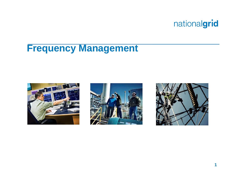

# **Frequency Management**





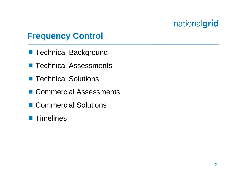## **Frequency Control**

- Technical Background
- Technical Assessments
- Technical Solutions
- Commercial Assessments
- Commercial Solutions
- **Timelines**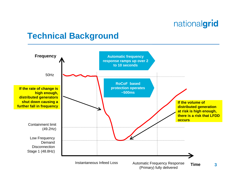#### **Technical Background**

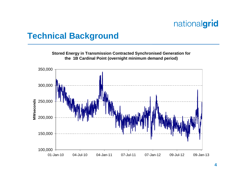#### **Technical Background**

**Stored Energy in Transmission Contracted Synchronised Generation for the 1B Cardinal Point (overnight minimum demand period)**

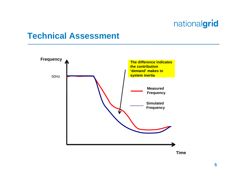#### **Technical Assessment**

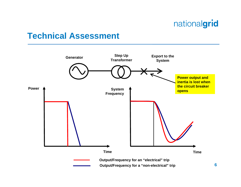#### **Technical Assessment**

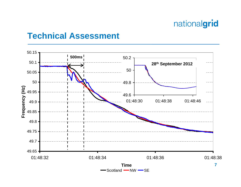#### **Technical Assessment**

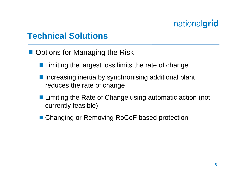## **Technical Solutions**

- Options for Managing the Risk
	- **Limiting the largest loss limits the rate of change**
	- **Increasing inertia by synchronising additional plant** reduces the rate of change
	- **Limiting the Rate of Change using automatic action (not** currently feasible)
	- Changing or Removing RoCoF based protection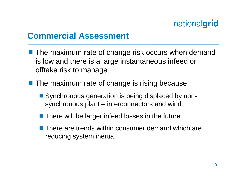#### **Commercial Assessment**

- The maximum rate of change risk occurs when demand is low and there is a large instantaneous infeed or offtake risk to manage
- **The maximum rate of change is rising because** 
	- Synchronous generation is being displaced by nonsynchronous plant – interconnectors and wind
	- $\blacksquare$  There will be larger infeed losses in the future
	- There are trends within consumer demand which are reducing system inertia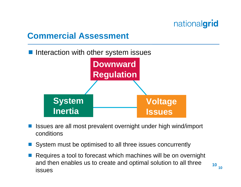## **Commercial Assessment**

Interaction with other system issues



- Issues are all most prevalent overnight under high wind/import conditions
- System must be optimised to all three issues concurrently
- Requires a tool to forecast which machines will be on overnight and then enables us to create and optimal solution to all three issues**<sup>10</sup>**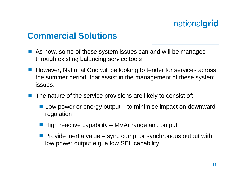#### **Commercial Solutions**

- **STATE OF STATE OF STATE OF STATE OF STATE OF STATE OF STATE OF STATE OF STATE OF STATE OF STATE OF STATE OF S**  As now, some of these system issues can and will be managed through existing balancing service tools
- **However, National Grid will be looking to tender for services across** the summer period, that assist in the management of these system issues.
- **STATE OF STATE OF STATE OF STATE OF STATE OF STATE OF STATE OF STATE OF STATE OF STATE OF STATE OF STATE OF S**  The nature of the service provisions are likely to consist of;
	- $\blacksquare$  Low power or energy output to minimise impact on downward regulation
	- $\blacksquare$  High reactive capability MVAr range and output
	- **Provide inertia value sync comp, or synchronous output with** low power output e.g. a low SEL capability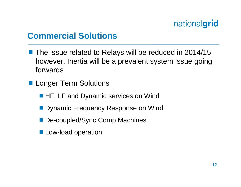## **Commercial Solutions**

- The issue related to Relays will be reduced in 2014/15 however, Inertia will be a prevalent system issue going forwards
- **Longer Term Solutions** 
	- **HF, LF and Dynamic services on Wind**
	- **Dynamic Frequency Response on Wind**
	- De-coupled/Sync Comp Machines
	- **Low-load operation**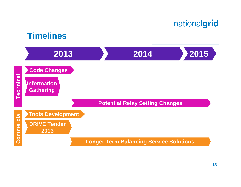